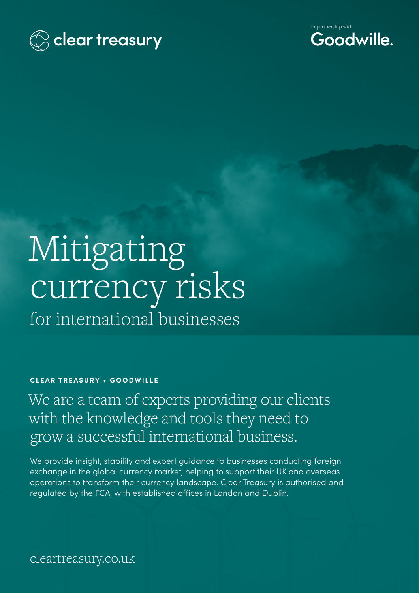



# for international businesses Mitigating currency risks

**CLEAR TREASURY + GOODWILLE**

We are a team of experts providing our clients with the knowledge and tools they need to grow a successful international business.

We provide insight, stability and expert guidance to businesses conducting foreign exchange in the global currency market, helping to support their UK and overseas operations to transform their currency landscape. Clear Treasury is authorised and regulated by the FCA, with established offices in London and Dublin.

[cleartreasury.co.uk](https://www.cleartreasury.co.uk)